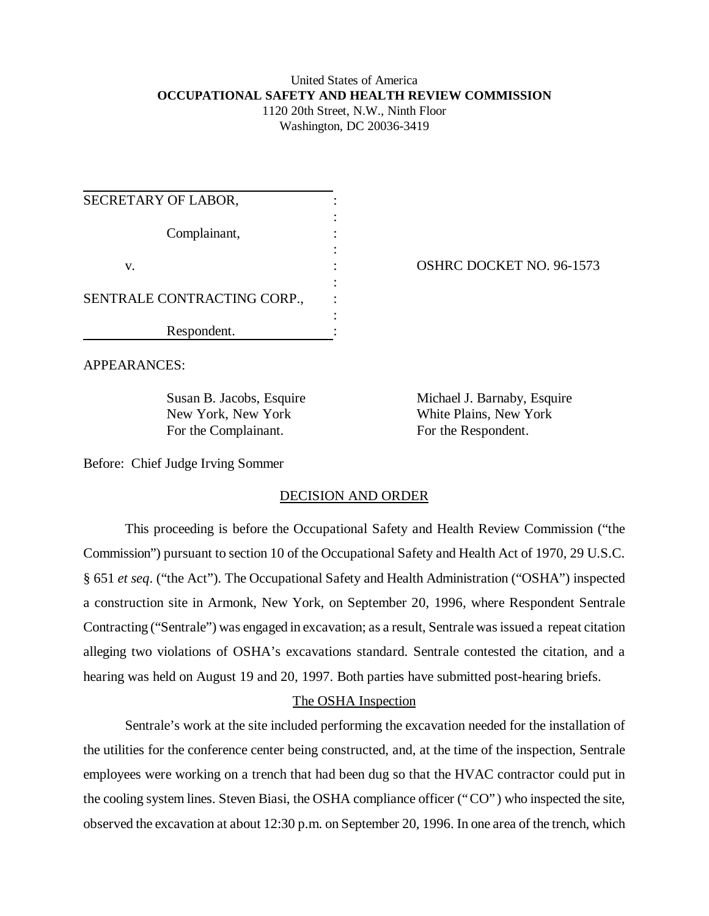# United States of America **OCCUPATIONAL SAFETY AND HEALTH REVIEW COMMISSION** 1120 20th Street, N.W., Ninth Floor

Washington, DC 20036-3419

| SECRETARY OF LABOR,         |  |
|-----------------------------|--|
| Complainant,                |  |
| v.                          |  |
| SENTRALE CONTRACTING CORP., |  |
| Respondent.                 |  |

OSHRC DOCKET NO. 96-1573

APPEARANCES:

For the Complainant. For the Respondent.

Susan B. Jacobs, Esquire Michael J. Barnaby, Esquire New York, New York White Plains, New York

Before: Chief Judge Irving Sommer

# DECISION AND ORDER

This proceeding is before the Occupational Safety and Health Review Commission ("the Commission") pursuant to section 10 of the Occupational Safety and Health Act of 1970, 29 U.S.C. § 651 *et seq*. ("the Act"). The Occupational Safety and Health Administration ("OSHA") inspected a construction site in Armonk, New York, on September 20, 1996, where Respondent Sentrale Contracting ("Sentrale") was engaged in excavation; as a result, Sentrale was issued a repeat citation alleging two violations of OSHA's excavations standard. Sentrale contested the citation, and a hearing was held on August 19 and 20, 1997. Both parties have submitted post-hearing briefs.

# The OSHA Inspection

Sentrale's work at the site included performing the excavation needed for the installation of the utilities for the conference center being constructed, and, at the time of the inspection, Sentrale employees were working on a trench that had been dug so that the HVAC contractor could put in the cooling system lines. Steven Biasi, the OSHA compliance officer ("CO") who inspected the site, observed the excavation at about 12:30 p.m. on September 20, 1996. In one area of the trench, which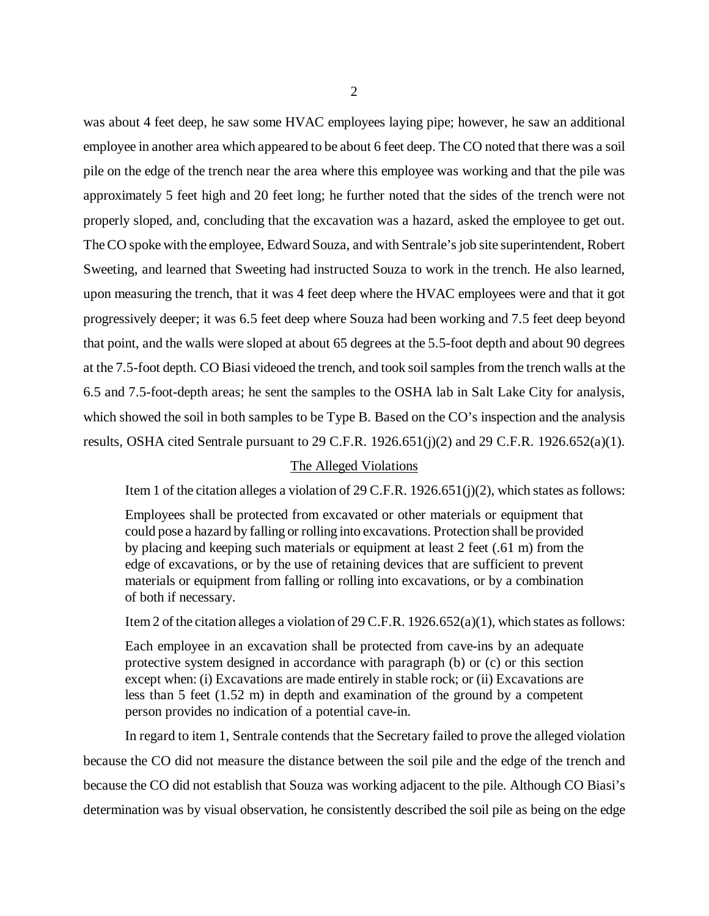was about 4 feet deep, he saw some HVAC employees laying pipe; however, he saw an additional employee in another area which appeared to be about 6 feet deep. The CO noted that there was a soil pile on the edge of the trench near the area where this employee was working and that the pile was approximately 5 feet high and 20 feet long; he further noted that the sides of the trench were not properly sloped, and, concluding that the excavation was a hazard, asked the employee to get out. The CO spoke with the employee, Edward Souza, and with Sentrale's job site superintendent, Robert Sweeting, and learned that Sweeting had instructed Souza to work in the trench. He also learned, upon measuring the trench, that it was 4 feet deep where the HVAC employees were and that it got progressively deeper; it was 6.5 feet deep where Souza had been working and 7.5 feet deep beyond that point, and the walls were sloped at about 65 degrees at the 5.5-foot depth and about 90 degrees at the 7.5-foot depth. CO Biasi videoed the trench, and took soil samples from the trench walls at the 6.5 and 7.5-foot-depth areas; he sent the samples to the OSHA lab in Salt Lake City for analysis, which showed the soil in both samples to be Type B. Based on the CO's inspection and the analysis results, OSHA cited Sentrale pursuant to 29 C.F.R. 1926.651(j)(2) and 29 C.F.R. 1926.652(a)(1).

#### The Alleged Violations

Item 1 of the citation alleges a violation of 29 C.F.R. 1926.651(j)(2), which states as follows:

Employees shall be protected from excavated or other materials or equipment that could pose a hazard by falling or rolling into excavations. Protection shall be provided by placing and keeping such materials or equipment at least 2 feet (.61 m) from the edge of excavations, or by the use of retaining devices that are sufficient to prevent materials or equipment from falling or rolling into excavations, or by a combination of both if necessary.

Item 2 of the citation alleges a violation of 29 C.F.R. 1926.652(a)(1), which states as follows:

Each employee in an excavation shall be protected from cave-ins by an adequate protective system designed in accordance with paragraph (b) or (c) or this section except when: (i) Excavations are made entirely in stable rock; or (ii) Excavations are less than 5 feet (1.52 m) in depth and examination of the ground by a competent person provides no indication of a potential cave-in.

In regard to item 1, Sentrale contends that the Secretary failed to prove the alleged violation because the CO did not measure the distance between the soil pile and the edge of the trench and because the CO did not establish that Souza was working adjacent to the pile. Although CO Biasi's determination was by visual observation, he consistently described the soil pile as being on the edge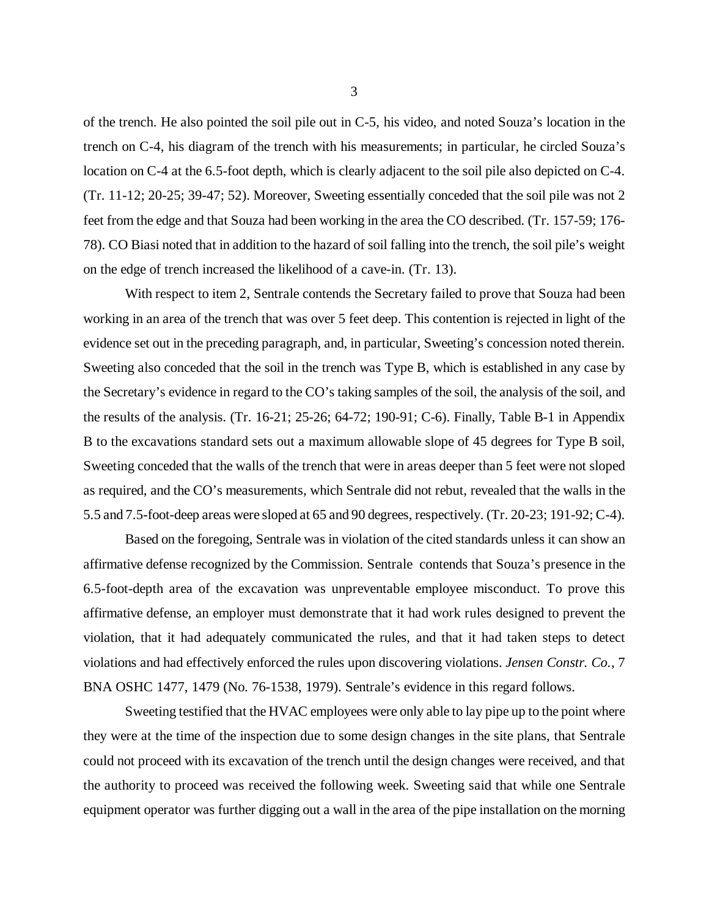of the trench. He also pointed the soil pile out in C-5, his video, and noted Souza's location in the trench on C-4, his diagram of the trench with his measurements; in particular, he circled Souza's location on C-4 at the 6.5-foot depth, which is clearly adjacent to the soil pile also depicted on C-4. (Tr. 11-12; 20-25; 39-47; 52). Moreover, Sweeting essentially conceded that the soil pile was not 2 feet from the edge and that Souza had been working in the area the CO described. (Tr. 157-59; 176- 78). CO Biasi noted that in addition to the hazard of soil falling into the trench, the soil pile's weight on the edge of trench increased the likelihood of a cave-in. (Tr. 13).

With respect to item 2, Sentrale contends the Secretary failed to prove that Souza had been working in an area of the trench that was over 5 feet deep. This contention is rejected in light of the evidence set out in the preceding paragraph, and, in particular, Sweeting's concession noted therein. Sweeting also conceded that the soil in the trench was Type B, which is established in any case by the Secretary's evidence in regard to the CO's taking samples of the soil, the analysis of the soil, and the results of the analysis. (Tr. 16-21; 25-26; 64-72; 190-91; C-6). Finally, Table B-1 in Appendix B to the excavations standard sets out a maximum allowable slope of 45 degrees for Type B soil, Sweeting conceded that the walls of the trench that were in areas deeper than 5 feet were not sloped as required, and the CO's measurements, which Sentrale did not rebut, revealed that the walls in the 5.5 and 7.5-foot-deep areas were sloped at 65 and 90 degrees, respectively. (Tr. 20-23; 191-92; C-4).

Based on the foregoing, Sentrale was in violation of the cited standards unless it can show an affirmative defense recognized by the Commission. Sentrale contends that Souza's presence in the 6.5-foot-depth area of the excavation was unpreventable employee misconduct. To prove this affirmative defense, an employer must demonstrate that it had work rules designed to prevent the violation, that it had adequately communicated the rules, and that it had taken steps to detect violations and had effectively enforced the rules upon discovering violations. *Jensen Constr. Co.*, 7 BNA OSHC 1477, 1479 (No. 76-1538, 1979). Sentrale's evidence in this regard follows.

Sweeting testified that the HVAC employees were only able to lay pipe up to the point where they were at the time of the inspection due to some design changes in the site plans, that Sentrale could not proceed with its excavation of the trench until the design changes were received, and that the authority to proceed was received the following week. Sweeting said that while one Sentrale equipment operator was further digging out a wall in the area of the pipe installation on the morning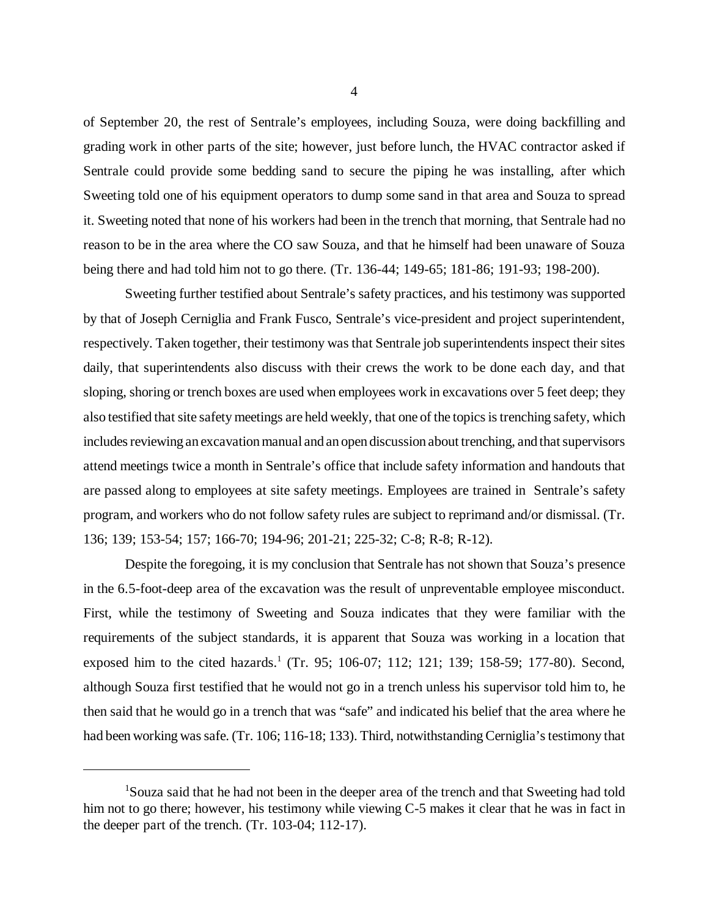of September 20, the rest of Sentrale's employees, including Souza, were doing backfilling and grading work in other parts of the site; however, just before lunch, the HVAC contractor asked if Sentrale could provide some bedding sand to secure the piping he was installing, after which Sweeting told one of his equipment operators to dump some sand in that area and Souza to spread it. Sweeting noted that none of his workers had been in the trench that morning, that Sentrale had no reason to be in the area where the CO saw Souza, and that he himself had been unaware of Souza being there and had told him not to go there. (Tr. 136-44; 149-65; 181-86; 191-93; 198-200).

Sweeting further testified about Sentrale's safety practices, and his testimony was supported by that of Joseph Cerniglia and Frank Fusco, Sentrale's vice-president and project superintendent, respectively. Taken together, their testimony was that Sentrale job superintendents inspect their sites daily, that superintendents also discuss with their crews the work to be done each day, and that sloping, shoring or trench boxes are used when employees work in excavations over 5 feet deep; they also testified that site safety meetings are held weekly, that one of the topics is trenching safety, which includes reviewing an excavation manual and an open discussion about trenching, and that supervisors attend meetings twice a month in Sentrale's office that include safety information and handouts that are passed along to employees at site safety meetings. Employees are trained in Sentrale's safety program, and workers who do not follow safety rules are subject to reprimand and/or dismissal. (Tr. 136; 139; 153-54; 157; 166-70; 194-96; 201-21; 225-32; C-8; R-8; R-12).

Despite the foregoing, it is my conclusion that Sentrale has not shown that Souza's presence in the 6.5-foot-deep area of the excavation was the result of unpreventable employee misconduct. First, while the testimony of Sweeting and Souza indicates that they were familiar with the requirements of the subject standards, it is apparent that Souza was working in a location that exposed him to the cited hazards.<sup>1</sup> (Tr. 95; 106-07; 112; 121; 139; 158-59; 177-80). Second, although Souza first testified that he would not go in a trench unless his supervisor told him to, he then said that he would go in a trench that was "safe" and indicated his belief that the area where he had been working was safe. (Tr. 106; 116-18; 133). Third, notwithstanding Cerniglia's testimony that

<sup>&</sup>lt;sup>1</sup>Souza said that he had not been in the deeper area of the trench and that Sweeting had told him not to go there; however, his testimony while viewing C-5 makes it clear that he was in fact in the deeper part of the trench. (Tr. 103-04; 112-17).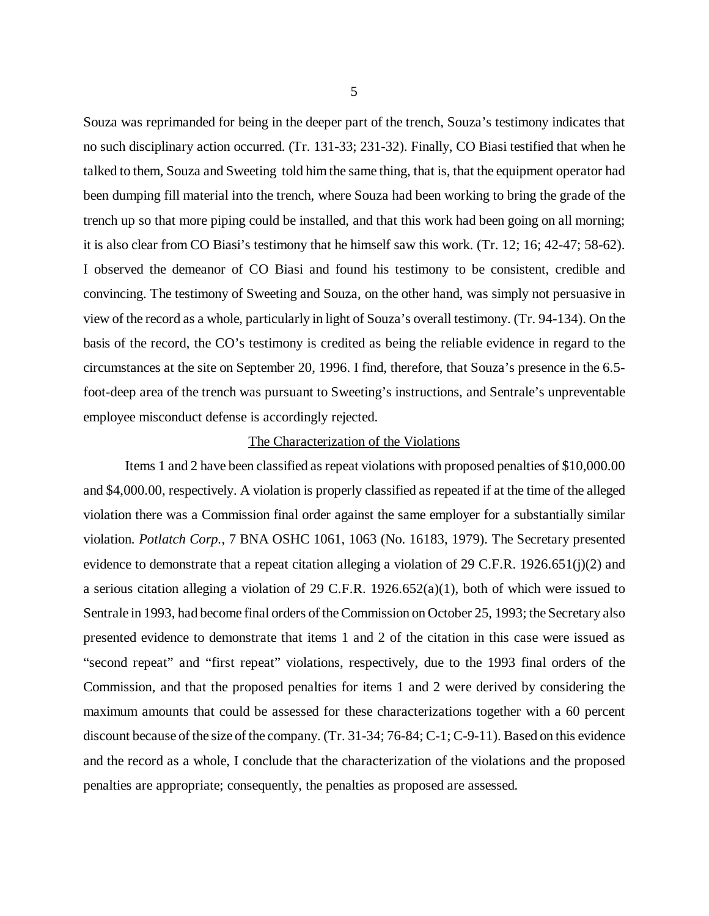Souza was reprimanded for being in the deeper part of the trench, Souza's testimony indicates that no such disciplinary action occurred. (Tr. 131-33; 231-32). Finally, CO Biasi testified that when he talked to them, Souza and Sweeting told him the same thing, that is, that the equipment operator had been dumping fill material into the trench, where Souza had been working to bring the grade of the trench up so that more piping could be installed, and that this work had been going on all morning; it is also clear from CO Biasi's testimony that he himself saw this work. (Tr. 12; 16; 42-47; 58-62). I observed the demeanor of CO Biasi and found his testimony to be consistent, credible and convincing. The testimony of Sweeting and Souza, on the other hand, was simply not persuasive in view of the record as a whole, particularly in light of Souza's overall testimony. (Tr. 94-134). On the basis of the record, the CO's testimony is credited as being the reliable evidence in regard to the circumstances at the site on September 20, 1996. I find, therefore, that Souza's presence in the 6.5 foot-deep area of the trench was pursuant to Sweeting's instructions, and Sentrale's unpreventable employee misconduct defense is accordingly rejected.

### The Characterization of the Violations

Items 1 and 2 have been classified as repeat violations with proposed penalties of \$10,000.00 and \$4,000.00, respectively. A violation is properly classified as repeated if at the time of the alleged violation there was a Commission final order against the same employer for a substantially similar violation. *Potlatch Corp.*, 7 BNA OSHC 1061, 1063 (No. 16183, 1979). The Secretary presented evidence to demonstrate that a repeat citation alleging a violation of 29 C.F.R. 1926.651(j)(2) and a serious citation alleging a violation of 29 C.F.R. 1926.652(a)(1), both of which were issued to Sentrale in 1993, had become final orders of the Commission on October 25, 1993; the Secretary also presented evidence to demonstrate that items 1 and 2 of the citation in this case were issued as "second repeat" and "first repeat" violations, respectively, due to the 1993 final orders of the Commission, and that the proposed penalties for items 1 and 2 were derived by considering the maximum amounts that could be assessed for these characterizations together with a 60 percent discount because of the size of the company. (Tr. 31-34; 76-84; C-1; C-9-11). Based on this evidence and the record as a whole, I conclude that the characterization of the violations and the proposed penalties are appropriate; consequently, the penalties as proposed are assessed.